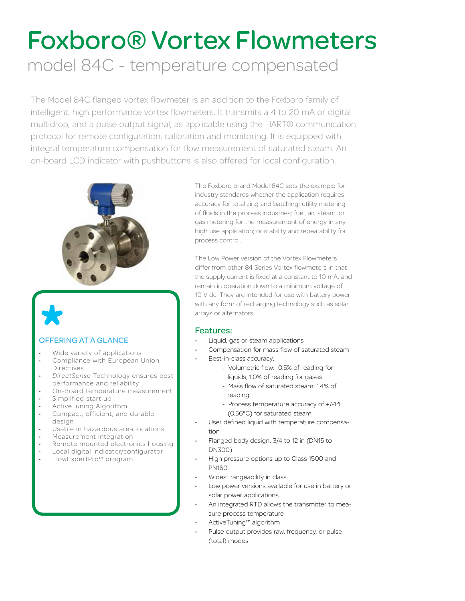# Foxboro® Vortex Flowmeters model 84C - temperature compensated

The Model 84C flanged vortex flowmeter is an addition to the Foxboro family of intelligent, high performance vortex flowmeters. It transmits a 4 to 20 mA or digital multidrop, and a pulse output signal, as applicable using the HART® communication protocol for remote configuration, calibration and monitoring. It is equipped with integral temperature compensation for flow measurement of saturated steam. An on-board LCD indicator with pushbuttons is also offered for local configuration.



### OFFERING AT A GLANCE

- Wide variety of applications
- Compliance with European Union Directives
- *• DirectSense* Technology ensures best performance and reliability
- On-Board temperature measurement
- Simplified start up
- ActiveTuning Algorithm
- Compact, efficient, and durable design
- Usable in hazardous area locations
- Measurement integration
- Remote mounted electronics housing
- Local digital indicator/configurator
- FlowExpertPro™ program

The Foxboro brand Model 84C sets the example for industry standards whether the application requires accuracy for totalizing and batching; utility metering of fluids in the process industries; fuel, air, steam, or gas metering for the measurement of energy in any high use application; or stability and repeatability for process control.

The Low Power version of the Vortex Flowmeters differ from other 84 Series Vortex flowmeters in that the supply current is fixed at a constant to 10 mA, and remain in operation down to a minimum voltage of 10 V dc. They are intended for use with battery power with any form of recharging technology such as solar arrays or alternators.

### Features:

- Liquid, gas or steam applications
	- Compensation for mass flow of saturated steam
- Best-in-class accuracy:
	- Volumetric flow: 0.5% of reading for
		- liquids, 1.0% of reading for gases
	- Mass flow of saturated steam: 1.4% of reading
	- Process temperature accuracy of +/-1°F (0.56°C) for saturated steam
- User defined liquid with temperature compensation
- Flanged body design: 3/4 to 12 in (DN15 to DN300)
- High pressure options up to Class 1500 and PN160
- Widest rangeability in class
- Low power versions available for use in battery or solar power applications
- An integrated RTD allows the transmitter to measure process temperature
- ActiveTuning™ algorithm
- Pulse output provides raw, frequency, or pulse (total) modes